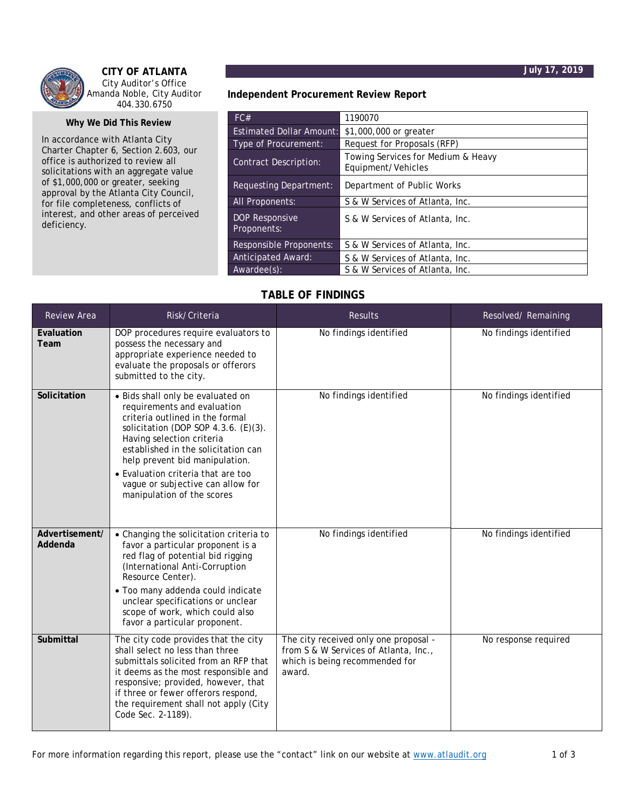



**CITY OF ATLANTA**  City Auditor's Office Amanda Noble, City Auditor 404.330.6750

## **Why We Did This Review**

In accordance with Atlanta City Charter Chapter 6, Section 2.603, our office is authorized to review all solicitations with an aggregate value of \$1,000,000 or greater, seeking approval by the Atlanta City Council, for file completeness, conflicts of interest, and other areas of perceived deficiency.

**Independent Procurement Review Report** 

| FC#                             | 1190070                                                  |  |
|---------------------------------|----------------------------------------------------------|--|
| <b>Estimated Dollar Amount:</b> | \$1,000,000 or greater                                   |  |
| Type of Procurement:            | Request for Proposals (RFP)                              |  |
| <b>Contract Description:</b>    | Towing Services for Medium & Heavy<br>Equipment/Vehicles |  |
| Requesting Department:          | Department of Public Works                               |  |
| <b>All Proponents:</b>          | S & W Services of Atlanta, Inc.                          |  |
| DOP Responsive<br>Proponents:   | S & W Services of Atlanta, Inc.                          |  |
| Responsible Proponents:         | S & W Services of Atlanta, Inc.                          |  |
| <b>Anticipated Award:</b>       | S & W Services of Atlanta, Inc.                          |  |
| $Awardee(s)$ :                  | S & W Services of Atlanta, Inc.                          |  |

## **TABLE OF FINDINGS**

| Review Area               | Risk/Criteria                                                                                                                                                                                                                                                                                                                                              | <b>Results</b>                                                                                                             | Resolved/Remaining     |
|---------------------------|------------------------------------------------------------------------------------------------------------------------------------------------------------------------------------------------------------------------------------------------------------------------------------------------------------------------------------------------------------|----------------------------------------------------------------------------------------------------------------------------|------------------------|
| Evaluation<br>Team        | DOP procedures require evaluators to<br>possess the necessary and<br>appropriate experience needed to<br>evaluate the proposals or offerors<br>submitted to the city.                                                                                                                                                                                      | No findings identified                                                                                                     | No findings identified |
| Solicitation              | · Bids shall only be evaluated on<br>requirements and evaluation<br>criteria outlined in the formal<br>solicitation (DOP SOP 4.3.6. (E)(3).<br>Having selection criteria<br>established in the solicitation can<br>help prevent bid manipulation.<br>• Evaluation criteria that are too<br>vague or subjective can allow for<br>manipulation of the scores | No findings identified                                                                                                     | No findings identified |
| Advertisement/<br>Addenda | • Changing the solicitation criteria to<br>favor a particular proponent is a<br>red flag of potential bid rigging<br>(International Anti-Corruption<br>Resource Center).<br>· Too many addenda could indicate<br>unclear specifications or unclear<br>scope of work, which could also<br>favor a particular proponent.                                     | No findings identified                                                                                                     | No findings identified |
| Submittal                 | The city code provides that the city<br>shall select no less than three<br>submittals solicited from an RFP that<br>it deems as the most responsible and<br>responsive; provided, however, that<br>if three or fewer offerors respond,<br>the requirement shall not apply (City<br>Code Sec. 2-1189).                                                      | The city received only one proposal -<br>from S & W Services of Atlanta, Inc.,<br>which is being recommended for<br>award. | No response required   |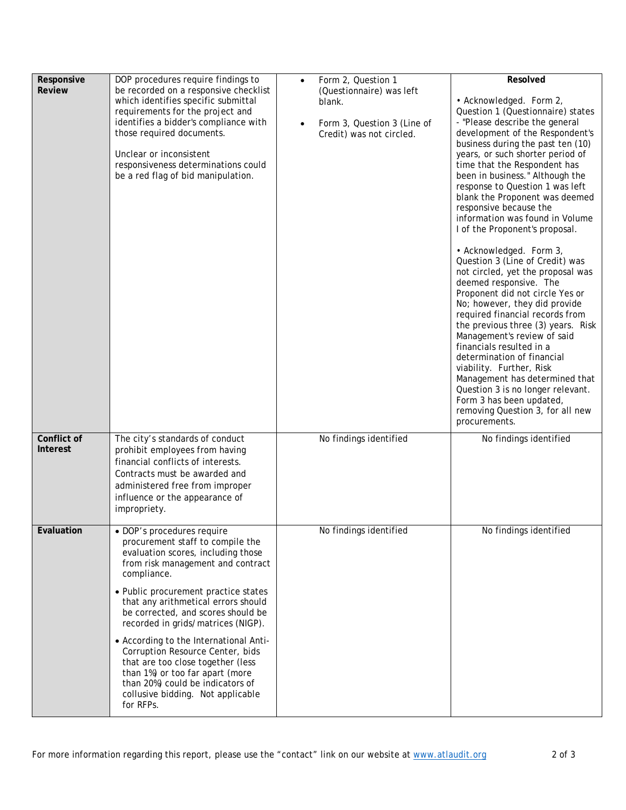| Responsive<br><b>Review</b>    | DOP procedures require findings to<br>be recorded on a responsive checklist<br>which identifies specific submittal<br>requirements for the project and<br>identifies a bidder's compliance with<br>those required documents.<br>Unclear or inconsistent<br>responsiveness determinations could<br>be a red flag of bid manipulation. | Form 2, Question 1<br>$\bullet$<br>(Questionnaire) was left<br>blank.<br>Form 3, Question 3 (Line of<br>$\bullet$<br>Credit) was not circled. | Resolved<br>• Acknowledged. Form 2,<br>Question 1 (Questionnaire) states<br>- "Please describe the general<br>development of the Respondent's<br>business during the past ten (10)<br>years, or such shorter period of<br>time that the Respondent has<br>been in business." Although the<br>response to Question 1 was left<br>blank the Proponent was deemed<br>responsive because the<br>information was found in Volume<br>I of the Proponent's proposal.<br>• Acknowledged. Form 3,<br>Question 3 (Line of Credit) was<br>not circled, yet the proposal was<br>deemed responsive. The<br>Proponent did not circle Yes or<br>No; however, they did provide<br>required financial records from<br>the previous three (3) years. Risk<br>Management's review of said<br>financials resulted in a<br>determination of financial<br>viability. Further, Risk<br>Management has determined that<br>Question 3 is no longer relevant. |
|--------------------------------|--------------------------------------------------------------------------------------------------------------------------------------------------------------------------------------------------------------------------------------------------------------------------------------------------------------------------------------|-----------------------------------------------------------------------------------------------------------------------------------------------|-------------------------------------------------------------------------------------------------------------------------------------------------------------------------------------------------------------------------------------------------------------------------------------------------------------------------------------------------------------------------------------------------------------------------------------------------------------------------------------------------------------------------------------------------------------------------------------------------------------------------------------------------------------------------------------------------------------------------------------------------------------------------------------------------------------------------------------------------------------------------------------------------------------------------------------|
|                                |                                                                                                                                                                                                                                                                                                                                      |                                                                                                                                               | Form 3 has been updated,<br>removing Question 3, for all new<br>procurements.                                                                                                                                                                                                                                                                                                                                                                                                                                                                                                                                                                                                                                                                                                                                                                                                                                                       |
| Conflict of<br><b>Interest</b> | The city's standards of conduct<br>prohibit employees from having<br>financial conflicts of interests.<br>Contracts must be awarded and<br>administered free from improper<br>influence or the appearance of<br>impropriety.                                                                                                         | No findings identified                                                                                                                        | No findings identified                                                                                                                                                                                                                                                                                                                                                                                                                                                                                                                                                                                                                                                                                                                                                                                                                                                                                                              |
| Evaluation                     | · DOP's procedures require<br>procurement staff to compile the<br>evaluation scores, including those<br>from risk management and contract<br>compliance.                                                                                                                                                                             | No findings identified                                                                                                                        | No findings identified                                                                                                                                                                                                                                                                                                                                                                                                                                                                                                                                                                                                                                                                                                                                                                                                                                                                                                              |
|                                | • Public procurement practice states<br>that any arithmetical errors should<br>be corrected, and scores should be<br>recorded in grids/matrices (NIGP).                                                                                                                                                                              |                                                                                                                                               |                                                                                                                                                                                                                                                                                                                                                                                                                                                                                                                                                                                                                                                                                                                                                                                                                                                                                                                                     |
|                                | • According to the International Anti-<br>Corruption Resource Center, bids<br>that are too close together (less<br>than 1%) or too far apart (more<br>than 20%) could be indicators of<br>collusive bidding. Not applicable<br>for RFPs.                                                                                             |                                                                                                                                               |                                                                                                                                                                                                                                                                                                                                                                                                                                                                                                                                                                                                                                                                                                                                                                                                                                                                                                                                     |